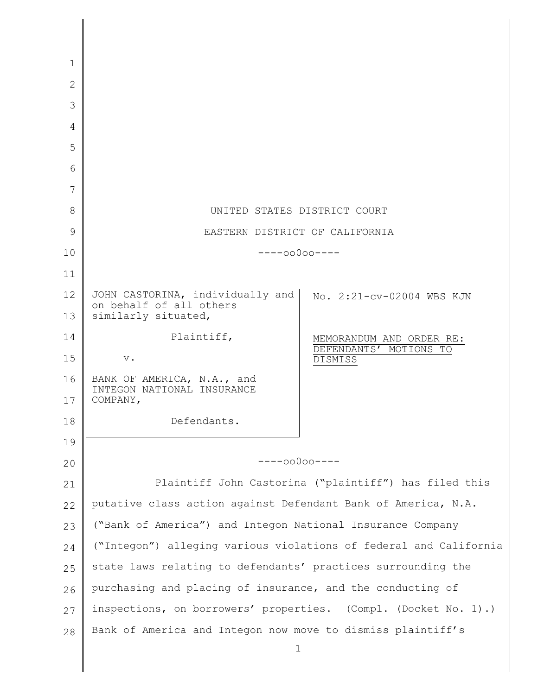| $\mathbf{1}$   |                                                                                    |                                   |
|----------------|------------------------------------------------------------------------------------|-----------------------------------|
| $\overline{2}$ |                                                                                    |                                   |
| 3              |                                                                                    |                                   |
| 4              |                                                                                    |                                   |
| 5              |                                                                                    |                                   |
| 6              |                                                                                    |                                   |
| 7              |                                                                                    |                                   |
| 8              | UNITED STATES DISTRICT COURT                                                       |                                   |
| 9              | EASTERN DISTRICT OF CALIFORNIA                                                     |                                   |
| 10             | $---00000---$                                                                      |                                   |
| 11             |                                                                                    |                                   |
| 12<br>13       | JOHN CASTORINA, individually and<br>on behalf of all others<br>similarly situated, | No. 2:21-cv-02004 WBS KJN         |
| 14             | Plaintiff,                                                                         | MEMORANDUM AND ORDER RE:          |
| 15             | $\mathbf v$ .                                                                      | DEFENDANTS' MOTIONS TO<br>DISMISS |
| 16<br>17       | BANK OF AMERICA, N.A., and<br>INTEGON NATIONAL INSURANCE<br>COMPANY,               |                                   |
| 18             | Defendants.                                                                        |                                   |
| 19             |                                                                                    |                                   |
| 20             | $---00000---$                                                                      |                                   |
| 21             | Plaintiff John Castorina ("plaintiff") has filed this                              |                                   |
| 22             | putative class action against Defendant Bank of America, N.A.                      |                                   |
| 23             | ("Bank of America") and Integon National Insurance Company                         |                                   |
| 24             | ("Integon") alleging various violations of federal and California                  |                                   |
| 25             | state laws relating to defendants' practices surrounding the                       |                                   |
| 26             | purchasing and placing of insurance, and the conducting of                         |                                   |
| 27             | inspections, on borrowers' properties. (Compl. (Docket No. 1).)                    |                                   |
| 28             | Bank of America and Integon now move to dismiss plaintiff's<br>$\mathbf 1$         |                                   |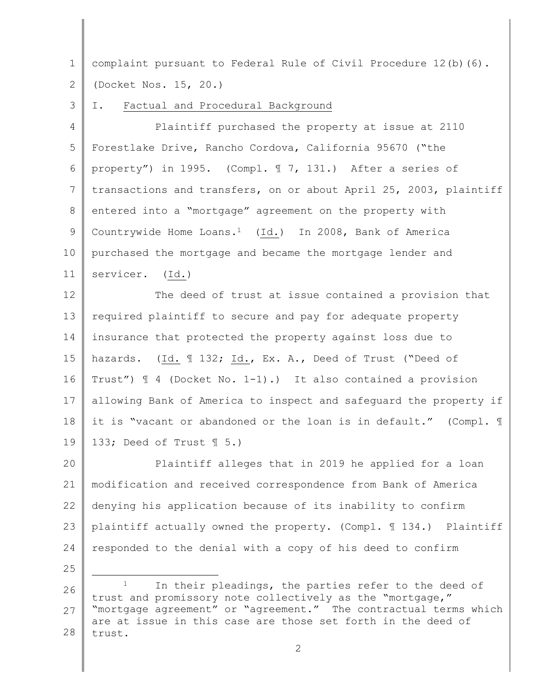1 2 complaint pursuant to Federal Rule of Civil Procedure 12(b)(6). (Docket Nos. 15, 20.)

3 I. Factual and Procedural Background

4 5 6 7 8 9 10 11 Plaintiff purchased the property at issue at 2110 Forestlake Drive, Rancho Cordova, California 95670 ("the property") in 1995. (Compl. ¶ 7, 131.) After a series of transactions and transfers, on or about April 25, 2003, plaintiff entered into a "mortgage" agreement on the property with Countrywide Home Loans.1 (Id.) In 2008, Bank of America purchased the mortgage and became the mortgage lender and servicer. (Id.)

12 13 14 15 16 17 18 19 The deed of trust at issue contained a provision that required plaintiff to secure and pay for adequate property insurance that protected the property against loss due to hazards. (Id. ¶ 132; Id., Ex. A., Deed of Trust ("Deed of Trust") ¶ 4 (Docket No. 1-1).) It also contained a provision allowing Bank of America to inspect and safeguard the property if it is "vacant or abandoned or the loan is in default." (Compl. ¶ 133; Deed of Trust ¶ 5.)

20 21 22 23 24 Plaintiff alleges that in 2019 he applied for a loan modification and received correspondence from Bank of America denying his application because of its inability to confirm plaintiff actually owned the property. (Compl. ¶ 134.) Plaintiff responded to the denial with a copy of his deed to confirm

<sup>26</sup> 27 28 In their pleadings, the parties refer to the deed of trust and promissory note collectively as the "mortgage," "mortgage agreement" or "agreement." The contractual terms which are at issue in this case are those set forth in the deed of trust.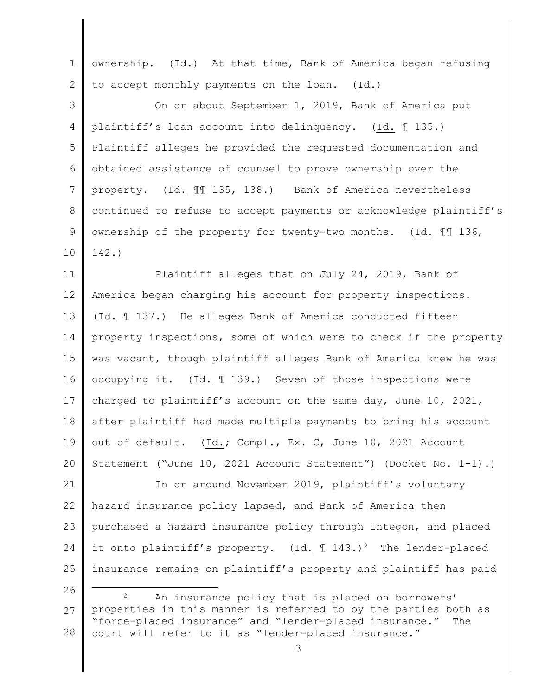| $\mathbf 1$    | ownership. (Id.) At that time, Bank of America began refusing                                                       |
|----------------|---------------------------------------------------------------------------------------------------------------------|
| $\overline{2}$ | to accept monthly payments on the loan.<br>$(\text{Id.})$                                                           |
| 3              | On or about September 1, 2019, Bank of America put                                                                  |
| $\overline{4}$ | plaintiff's loan account into delinquency. (Id. 1135.)                                                              |
| 5              | Plaintiff alleges he provided the requested documentation and                                                       |
| 6              | obtained assistance of counsel to prove ownership over the                                                          |
| 7              | (Id. 11 135, 138.) Bank of America nevertheless<br>property.                                                        |
| 8              | continued to refuse to accept payments or acknowledge plaintiff's                                                   |
| 9              | ownership of the property for twenty-two months. (Id. 11 136,                                                       |
| 10             | $142.$ )                                                                                                            |
| 11             | Plaintiff alleges that on July 24, 2019, Bank of                                                                    |
| 12             | America began charging his account for property inspections.                                                        |
| 13             | (Id. 137.) He alleges Bank of America conducted fifteen                                                             |
| 14             | property inspections, some of which were to check if the property                                                   |
| 15             | was vacant, though plaintiff alleges Bank of America knew he was                                                    |
| 16             | occupying it. (Id. 139.) Seven of those inspections were                                                            |
| 17             | charged to plaintiff's account on the same day, June 10, 2021,                                                      |
| 18             | after plaintiff had made multiple payments to bring his account                                                     |
| 19             | out of default. (Id.; Compl., Ex. C, June 10, 2021 Account                                                          |
| 20             | Statement ("June 10, 2021 Account Statement") (Docket No. 1-1).)                                                    |
| 21             | In or around November 2019, plaintiff's voluntary                                                                   |
| 22             | hazard insurance policy lapsed, and Bank of America then                                                            |
| 23             | purchased a hazard insurance policy through Integon, and placed                                                     |
| 24             | it onto plaintiff's property. (Id. $\text{I}$ 143.) <sup>2</sup> The lender-placed                                  |
| 25             | insurance remains on plaintiff's property and plaintiff has paid                                                    |
| 26             | $\overline{2}$<br>An insurance policy that is placed on borrowers'                                                  |
| 27             | properties in this manner is referred to by the parties both as                                                     |
| 28             | "force-placed insurance" and "lender-placed insurance." The<br>court will refer to it as "lender-placed insurance." |
|                | 3                                                                                                                   |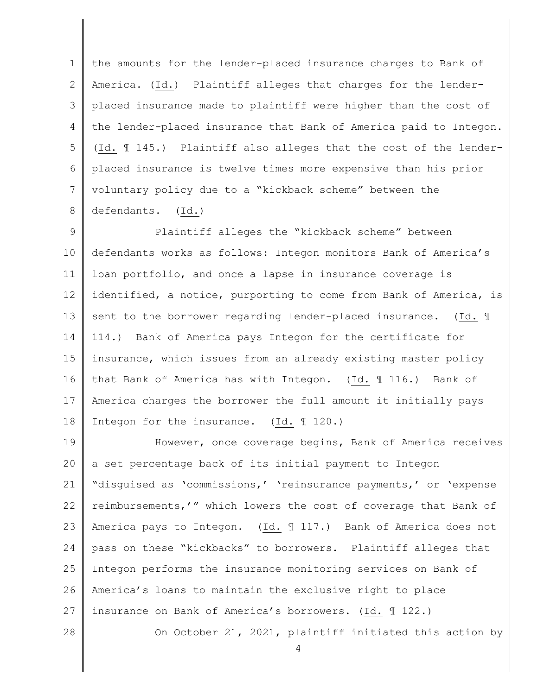1 2 3 4 5 6 7 8 the amounts for the lender-placed insurance charges to Bank of America. (Id.) Plaintiff alleges that charges for the lenderplaced insurance made to plaintiff were higher than the cost of the lender-placed insurance that Bank of America paid to Integon. (Id. ¶ 145.) Plaintiff also alleges that the cost of the lenderplaced insurance is twelve times more expensive than his prior voluntary policy due to a "kickback scheme" between the defendants. (Id.)

9 10 11 12 13 14 15 16 17 18 Plaintiff alleges the "kickback scheme" between defendants works as follows: Integon monitors Bank of America's loan portfolio, and once a lapse in insurance coverage is identified, a notice, purporting to come from Bank of America, is sent to the borrower regarding lender-placed insurance. (Id. ¶ 114.) Bank of America pays Integon for the certificate for insurance, which issues from an already existing master policy that Bank of America has with Integon. (Id. ¶ 116.) Bank of America charges the borrower the full amount it initially pays Integon for the insurance. (Id. ¶ 120.)

19 20 21 22 23 24 25 26 27 28 However, once coverage begins, Bank of America receives a set percentage back of its initial payment to Integon "disguised as 'commissions,' 'reinsurance payments,' or 'expense reimbursements,'" which lowers the cost of coverage that Bank of America pays to Integon. (Id. ¶ 117.) Bank of America does not pass on these "kickbacks" to borrowers. Plaintiff alleges that Integon performs the insurance monitoring services on Bank of America's loans to maintain the exclusive right to place insurance on Bank of America's borrowers. (Id. ¶ 122.)

On October 21, 2021, plaintiff initiated this action by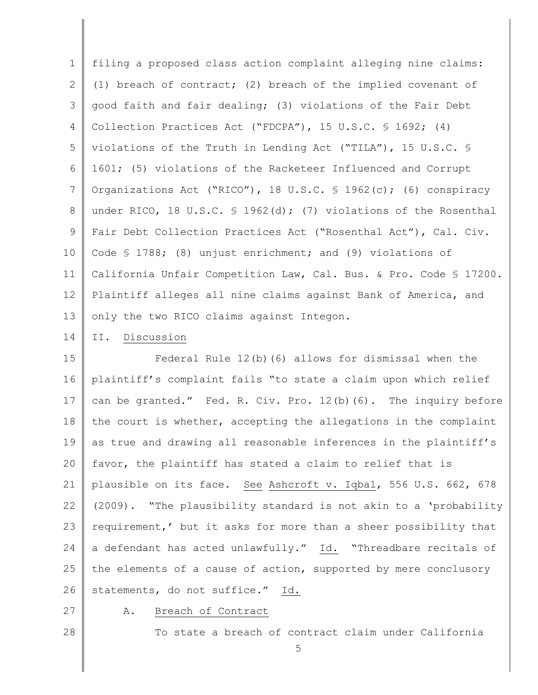1 2 3 4 5 6 7 8 9 10 11 12 13 filing a proposed class action complaint alleging nine claims: (1) breach of contract; (2) breach of the implied covenant of good faith and fair dealing; (3) violations of the Fair Debt Collection Practices Act ("FDCPA"), 15 U.S.C. § 1692; (4) violations of the Truth in Lending Act ("TILA"), 15 U.S.C. § 1601; (5) violations of the Racketeer Influenced and Corrupt Organizations Act ("RICO"), 18 U.S.C. § 1962(c); (6) conspiracy under RICO, 18 U.S.C. § 1962(d); (7) violations of the Rosenthal Fair Debt Collection Practices Act ("Rosenthal Act"), Cal. Civ. Code § 1788; (8) unjust enrichment; and (9) violations of California Unfair Competition Law, Cal. Bus. & Pro. Code § 17200. Plaintiff alleges all nine claims against Bank of America, and only the two RICO claims against Integon.

14 II. Discussion

15 16 17 18 19 20 21 22 23 24 25 26 Federal Rule 12(b)(6) allows for dismissal when the plaintiff's complaint fails "to state a claim upon which relief can be granted." Fed. R. Civ. Pro. 12(b)(6). The inquiry before the court is whether, accepting the allegations in the complaint as true and drawing all reasonable inferences in the plaintiff's favor, the plaintiff has stated a claim to relief that is plausible on its face. See Ashcroft v. Iqbal, 556 U.S. 662, 678 (2009). "The plausibility standard is not akin to a 'probability requirement,' but it asks for more than a sheer possibility that a defendant has acted unlawfully." Id. "Threadbare recitals of the elements of a cause of action, supported by mere conclusory statements, do not suffice." Id.

27

A. Breach of Contract

28

To state a breach of contract claim under California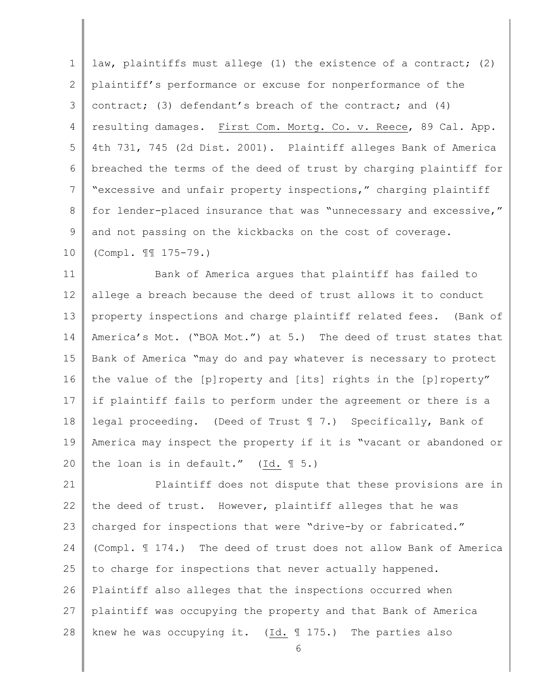1 2 3 4 5 6 7 8 9 10 law, plaintiffs must allege (1) the existence of a contract; (2) plaintiff's performance or excuse for nonperformance of the contract; (3) defendant's breach of the contract; and (4) resulting damages. First Com. Mortg. Co. v. Reece, 89 Cal. App. 4th 731, 745 (2d Dist. 2001). Plaintiff alleges Bank of America breached the terms of the deed of trust by charging plaintiff for "excessive and unfair property inspections," charging plaintiff for lender-placed insurance that was "unnecessary and excessive," and not passing on the kickbacks on the cost of coverage. (Compl. ¶¶ 175-79.)

11 12 13 14 15 16 17 18 19 20 Bank of America argues that plaintiff has failed to allege a breach because the deed of trust allows it to conduct property inspections and charge plaintiff related fees. (Bank of America's Mot. ("BOA Mot.") at 5.) The deed of trust states that Bank of America "may do and pay whatever is necessary to protect the value of the [p]roperty and [its] rights in the [p]roperty" if plaintiff fails to perform under the agreement or there is a legal proceeding. (Deed of Trust ¶ 7.) Specifically, Bank of America may inspect the property if it is "vacant or abandoned or the loan is in default." (Id. ¶ 5.)

21 22 23 24 25 26 27 28 Plaintiff does not dispute that these provisions are in the deed of trust. However, plaintiff alleges that he was charged for inspections that were "drive-by or fabricated." (Compl. ¶ 174.) The deed of trust does not allow Bank of America to charge for inspections that never actually happened. Plaintiff also alleges that the inspections occurred when plaintiff was occupying the property and that Bank of America knew he was occupying it. (Id. ¶ 175.) The parties also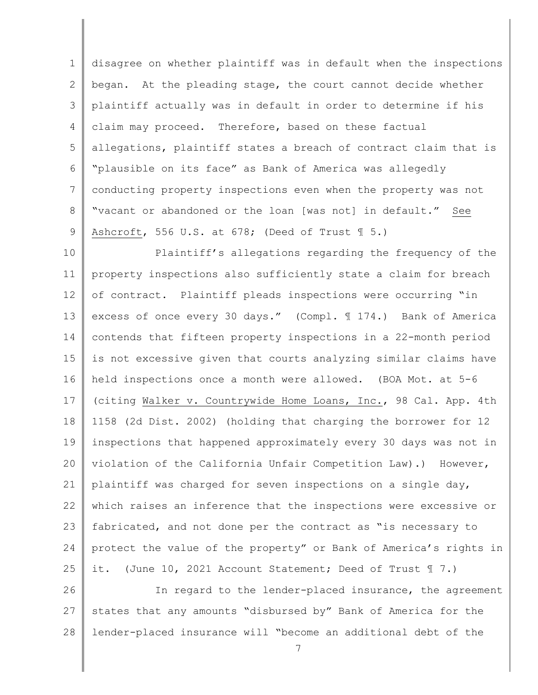1 2 3 4 5 6 7 8 9 disagree on whether plaintiff was in default when the inspections began. At the pleading stage, the court cannot decide whether plaintiff actually was in default in order to determine if his claim may proceed. Therefore, based on these factual allegations, plaintiff states a breach of contract claim that is "plausible on its face" as Bank of America was allegedly conducting property inspections even when the property was not "vacant or abandoned or the loan [was not] in default." See Ashcroft, 556 U.S. at 678; (Deed of Trust  $\mathbb{I}$  5.)

10 11 12 13 14 15 16 17 18 19 20 21 22 23 24 25 Plaintiff's allegations regarding the frequency of the property inspections also sufficiently state a claim for breach of contract. Plaintiff pleads inspections were occurring "in excess of once every 30 days." (Compl. ¶ 174.) Bank of America contends that fifteen property inspections in a 22-month period is not excessive given that courts analyzing similar claims have held inspections once a month were allowed. (BOA Mot. at 5-6 (citing Walker v. Countrywide Home Loans, Inc., 98 Cal. App. 4th 1158 (2d Dist. 2002) (holding that charging the borrower for 12 inspections that happened approximately every 30 days was not in violation of the California Unfair Competition Law).) However, plaintiff was charged for seven inspections on a single day, which raises an inference that the inspections were excessive or fabricated, and not done per the contract as "is necessary to protect the value of the property" or Bank of America's rights in it. (June 10, 2021 Account Statement; Deed of Trust ¶ 7.)

26 27 28 In regard to the lender-placed insurance, the agreement states that any amounts "disbursed by" Bank of America for the lender-placed insurance will "become an additional debt of the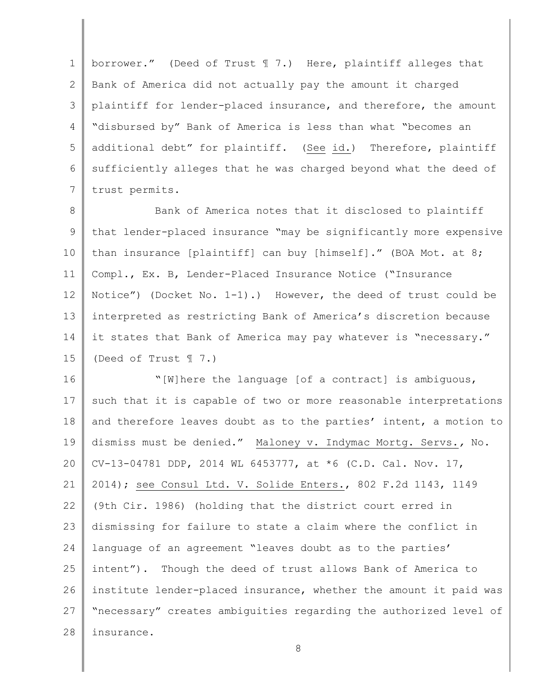1 2 3 4 5 6 7 borrower." (Deed of Trust ¶ 7.) Here, plaintiff alleges that Bank of America did not actually pay the amount it charged plaintiff for lender-placed insurance, and therefore, the amount "disbursed by" Bank of America is less than what "becomes an additional debt" for plaintiff. (See id.) Therefore, plaintiff sufficiently alleges that he was charged beyond what the deed of trust permits.

8 9 10 11 12 13 14 15 Bank of America notes that it disclosed to plaintiff that lender-placed insurance "may be significantly more expensive than insurance [plaintiff] can buy [himself]." (BOA Mot. at 8; Compl., Ex. B, Lender-Placed Insurance Notice ("Insurance Notice") (Docket No. 1-1).) However, the deed of trust could be interpreted as restricting Bank of America's discretion because it states that Bank of America may pay whatever is "necessary." (Deed of Trust ¶ 7.)

16 17 18 19 20 21 22 23 24 25 26 27 28 "[W]here the language [of a contract] is ambiguous, such that it is capable of two or more reasonable interpretations and therefore leaves doubt as to the parties' intent, a motion to dismiss must be denied." Maloney v. Indymac Mortg. Servs.*,* No. CV-13-04781 DDP, 2014 WL 6453777, at \*6 (C.D. Cal. Nov. 17, 2014); see Consul Ltd. V. Solide Enters., 802 F.2d 1143, 1149 (9th Cir. 1986) (holding that the district court erred in dismissing for failure to state a claim where the conflict in language of an agreement "leaves doubt as to the parties' intent"). Though the deed of trust allows Bank of America to institute lender-placed insurance, whether the amount it paid was "necessary" creates ambiguities regarding the authorized level of insurance.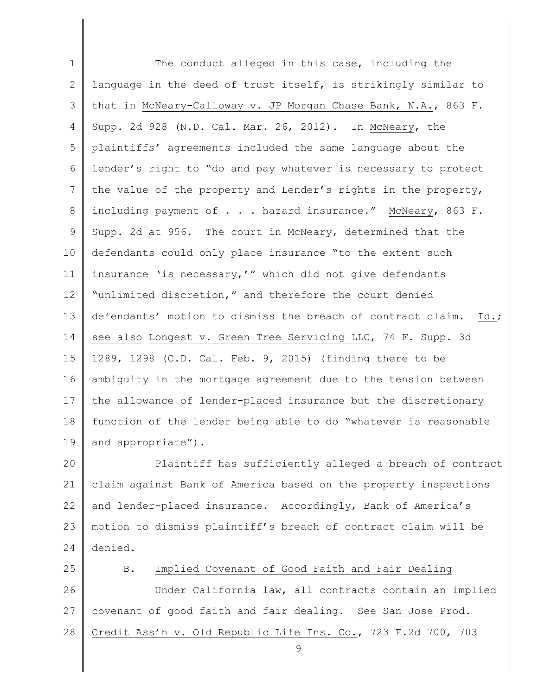1 2 3 4 5 6 7 8 9 10 11 12 13 14 15 16 17 18 19 20 21 22 23 24 25 26 27 28 The conduct alleged in this case, including the language in the deed of trust itself, is strikingly similar to that in McNeary-Calloway v. JP Morgan Chase Bank, N.A., 863 F. Supp. 2d 928 (N.D. Cal. Mar. 26, 2012). In McNeary, the plaintiffs' agreements included the same language about the lender's right to "do and pay whatever is necessary to protect the value of the property and Lender's rights in the property, including payment of . . . hazard insurance." McNeary, 863 F. Supp. 2d at 956. The court in McNeary, determined that the defendants could only place insurance "to the extent such insurance 'is necessary,'" which did not give defendants "unlimited discretion," and therefore the court denied defendants' motion to dismiss the breach of contract claim. Id.; see also Longest v. Green Tree Servicing LLC, 74 F. Supp. 3d 1289, 1298 (C.D. Cal. Feb. 9, 2015) (finding there to be ambiguity in the mortgage agreement due to the tension between the allowance of lender-placed insurance but the discretionary function of the lender being able to do "whatever is reasonable and appropriate"). Plaintiff has sufficiently alleged a breach of contract claim against Bank of America based on the property inspections and lender-placed insurance. Accordingly, Bank of America's motion to dismiss plaintiff's breach of contract claim will be denied. B. Implied Covenant of Good Faith and Fair Dealing Under California law, all contracts contain an implied covenant of good faith and fair dealing. See San Jose Prod. Credit Ass'n v. Old Republic Life Ins. Co., 723 F.2d 700, 703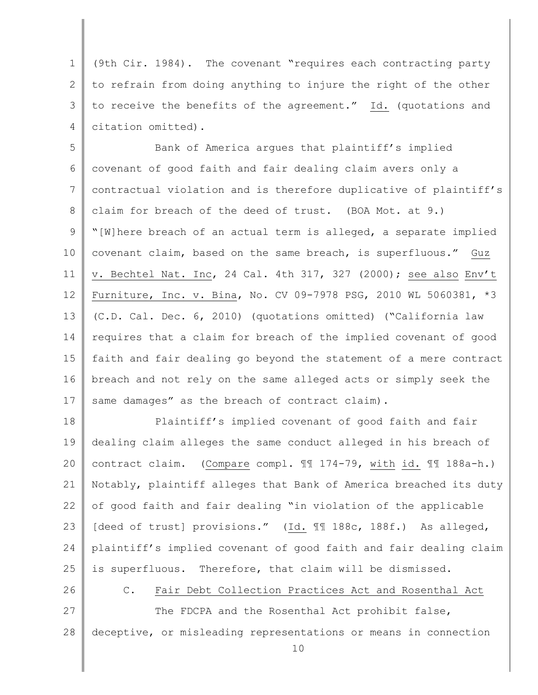1 2 3 4 (9th Cir. 1984). The covenant "requires each contracting party to refrain from doing anything to injure the right of the other to receive the benefits of the agreement." Id. (quotations and citation omitted).

5 6 7 8 9 10 11 12 13 14 15 16 17 Bank of America argues that plaintiff's implied covenant of good faith and fair dealing claim avers only a contractual violation and is therefore duplicative of plaintiff's claim for breach of the deed of trust. (BOA Mot. at 9.) "[W]here breach of an actual term is alleged, a separate implied covenant claim, based on the same breach, is superfluous." Guz v. Bechtel Nat. Inc, 24 Cal. 4th 317, 327 (2000); see also Env't Furniture, Inc. v. Bina, No. CV 09-7978 PSG, 2010 WL 5060381, \*3 (C.D. Cal. Dec. 6, 2010) (quotations omitted) ("California law requires that a claim for breach of the implied covenant of good faith and fair dealing go beyond the statement of a mere contract breach and not rely on the same alleged acts or simply seek the same damages" as the breach of contract claim).

18 19 20 21 22 23 24 25 Plaintiff's implied covenant of good faith and fair dealing claim alleges the same conduct alleged in his breach of contract claim. (Compare compl. ¶¶ 174-79, with id. ¶¶ 188a-h.) Notably, plaintiff alleges that Bank of America breached its duty of good faith and fair dealing "in violation of the applicable [deed of trust] provisions." (Id. 1188c, 188f.) As alleged, plaintiff's implied covenant of good faith and fair dealing claim is superfluous. Therefore, that claim will be dismissed.

26

# C. Fair Debt Collection Practices Act and Rosenthal Act

27 28 The FDCPA and the Rosenthal Act prohibit false, deceptive, or misleading representations or means in connection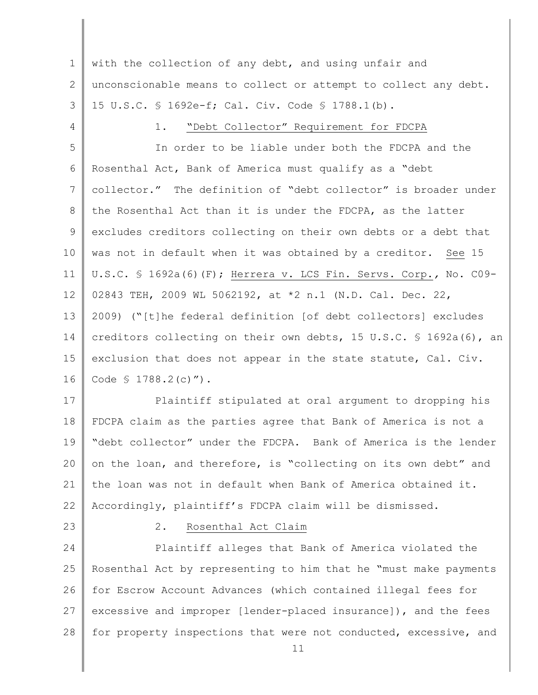1 2 3 with the collection of any debt, and using unfair and unconscionable means to collect or attempt to collect any debt. 15 U.S.C. § 1692e-f; Cal. Civ. Code § 1788.1(b).

4

# 1. "Debt Collector" Requirement for FDCPA

5 6 7 8 9 10 11 12 13 14 15 16 In order to be liable under both the FDCPA and the Rosenthal Act, Bank of America must qualify as a "debt collector." The definition of "debt collector" is broader under the Rosenthal Act than it is under the FDCPA, as the latter excludes creditors collecting on their own debts or a debt that was not in default when it was obtained by a creditor. See 15 U.S.C. § 1692a(6)(F); Herrera v. LCS Fin. Servs. Corp.*,* No. C09- 02843 TEH, 2009 WL 5062192, at \*2 n.1 (N.D. Cal. Dec. 22, 2009) ("[t]he federal definition [of debt collectors] excludes creditors collecting on their own debts, 15 U.S.C. § 1692a(6), an exclusion that does not appear in the state statute, Cal. Civ. Code § 1788.2(c)").

17 18 19 20 21 22 Plaintiff stipulated at oral argument to dropping his FDCPA claim as the parties agree that Bank of America is not a "debt collector" under the FDCPA. Bank of America is the lender on the loan, and therefore, is "collecting on its own debt" and the loan was not in default when Bank of America obtained it. Accordingly, plaintiff's FDCPA claim will be dismissed.

23

## 2. Rosenthal Act Claim

24 25 26 27 28 Plaintiff alleges that Bank of America violated the Rosenthal Act by representing to him that he "must make payments for Escrow Account Advances (which contained illegal fees for excessive and improper [lender-placed insurance]), and the fees for property inspections that were not conducted, excessive, and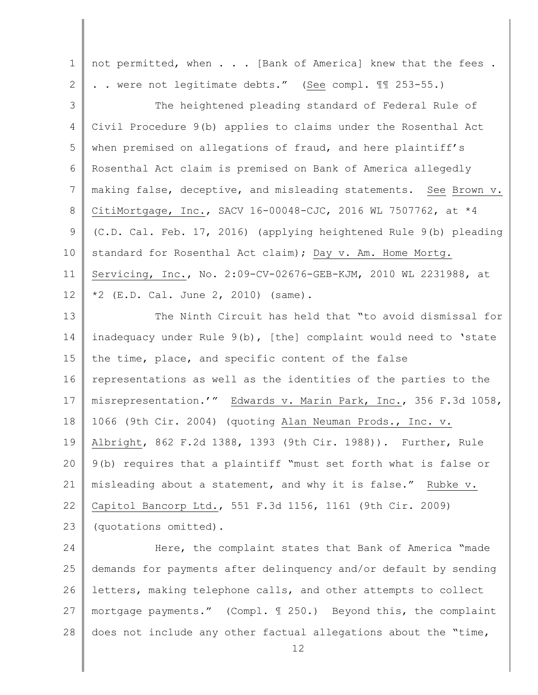1 2 3 4 5 6 7 8 9 10 11 12 13 14 15 16 17 18 19 20 21 22 23 24 25 not permitted, when . . . [Bank of America] knew that the fees . . . were not legitimate debts." (See compl. ¶¶ 253-55.) The heightened pleading standard of Federal Rule of Civil Procedure 9(b) applies to claims under the Rosenthal Act when premised on allegations of fraud, and here plaintiff's Rosenthal Act claim is premised on Bank of America allegedly making false, deceptive, and misleading statements. See Brown v. CitiMortgage, Inc., SACV 16-00048-CJC, 2016 WL 7507762, at \*4 (C.D. Cal. Feb. 17, 2016) (applying heightened Rule 9(b) pleading standard for Rosenthal Act claim); Day v. Am. Home Mortg. Servicing, Inc., No. 2:09-CV-02676-GEB-KJM, 2010 WL 2231988, at  $*2$  (E.D. Cal. June 2, 2010) (same). The Ninth Circuit has held that "to avoid dismissal for inadequacy under Rule 9(b), [the] complaint would need to 'state the time, place, and specific content of the false representations as well as the identities of the parties to the misrepresentation.'" Edwards v. Marin Park, Inc., 356 F.3d 1058, 1066 (9th Cir. 2004) (quoting Alan Neuman Prods., Inc. v. Albright, 862 F.2d 1388, 1393 (9th Cir. 1988)). Further, Rule 9(b) requires that a plaintiff "must set forth what is false or misleading about a statement, and why it is false." Rubke v. Capitol Bancorp Ltd., 551 F.3d 1156, 1161 (9th Cir. 2009) (quotations omitted). Here, the complaint states that Bank of America "made demands for payments after delinquency and/or default by sending

26 27 28 letters, making telephone calls, and other attempts to collect mortgage payments." (Compl. ¶ 250.) Beyond this, the complaint does not include any other factual allegations about the "time,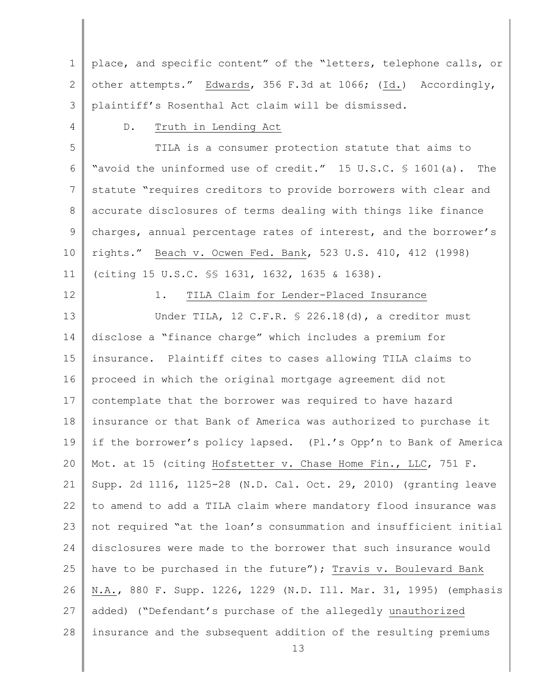1 2 3 place, and specific content" of the "letters, telephone calls, or other attempts." Edwards, 356 F.3d at 1066; (Id.) Accordingly, plaintiff's Rosenthal Act claim will be dismissed.

## D. Truth in Lending Act

5 6 7 8 9 10 11 TILA is a consumer protection statute that aims to "avoid the uninformed use of credit." 15 U.S.C. § 1601(a). The statute "requires creditors to provide borrowers with clear and accurate disclosures of terms dealing with things like finance charges, annual percentage rates of interest, and the borrower's rights." Beach v. Ocwen Fed. Bank, 523 U.S. 410, 412 (1998) (citing 15 U.S.C. §§ 1631, 1632, 1635 & 1638).

12

4

# 1. TILA Claim for Lender-Placed Insurance

13 14 15 16 17 18 19 20 21 22 23 24 25 26 27 28 Under TILA, 12 C.F.R. § 226.18(d), a creditor must disclose a "finance charge" which includes a premium for insurance. Plaintiff cites to cases allowing TILA claims to proceed in which the original mortgage agreement did not contemplate that the borrower was required to have hazard insurance or that Bank of America was authorized to purchase it if the borrower's policy lapsed. (Pl.'s Opp'n to Bank of America Mot. at 15 (citing Hofstetter v. Chase Home Fin., LLC, 751 F. Supp. 2d 1116, 1125-28 (N.D. Cal. Oct. 29, 2010) (granting leave to amend to add a TILA claim where mandatory flood insurance was not required "at the loan's consummation and insufficient initial disclosures were made to the borrower that such insurance would have to be purchased in the future"); Travis v. Boulevard Bank N.A., 880 F. Supp. 1226, 1229 (N.D. Ill. Mar. 31, 1995) (emphasis added) ("Defendant's purchase of the allegedly unauthorized insurance and the subsequent addition of the resulting premiums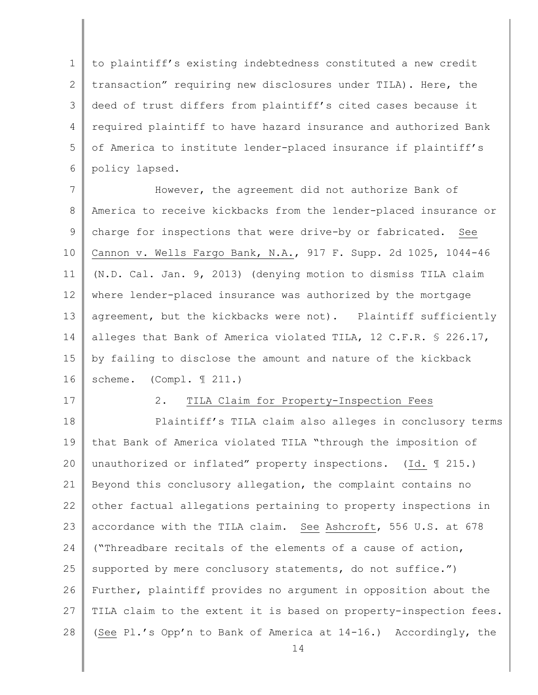1 2 3 4 5 6 to plaintiff's existing indebtedness constituted a new credit transaction" requiring new disclosures under TILA). Here, the deed of trust differs from plaintiff's cited cases because it required plaintiff to have hazard insurance and authorized Bank of America to institute lender-placed insurance if plaintiff's policy lapsed.

7 8 9 10 11 12 13 14 15 16 However, the agreement did not authorize Bank of America to receive kickbacks from the lender-placed insurance or charge for inspections that were drive-by or fabricated. See Cannon v. Wells Fargo Bank, N.A., 917 F. Supp. 2d 1025, 1044-46 (N.D. Cal. Jan. 9, 2013) (denying motion to dismiss TILA claim where lender-placed insurance was authorized by the mortgage agreement, but the kickbacks were not). Plaintiff sufficiently alleges that Bank of America violated TILA, 12 C.F.R. § 226.17, by failing to disclose the amount and nature of the kickback scheme. (Compl. 1 211.)

# 17

#### 2. TILA Claim for Property-Inspection Fees

18 19 20 21 22 23 24 25 26 27 28 Plaintiff's TILA claim also alleges in conclusory terms that Bank of America violated TILA "through the imposition of unauthorized or inflated" property inspections. (Id. ¶ 215.) Beyond this conclusory allegation, the complaint contains no other factual allegations pertaining to property inspections in accordance with the TILA claim. See Ashcroft, 556 U.S. at 678 ("Threadbare recitals of the elements of a cause of action, supported by mere conclusory statements, do not suffice.") Further, plaintiff provides no argument in opposition about the TILA claim to the extent it is based on property-inspection fees. (See Pl.'s Opp'n to Bank of America at 14-16.) Accordingly, the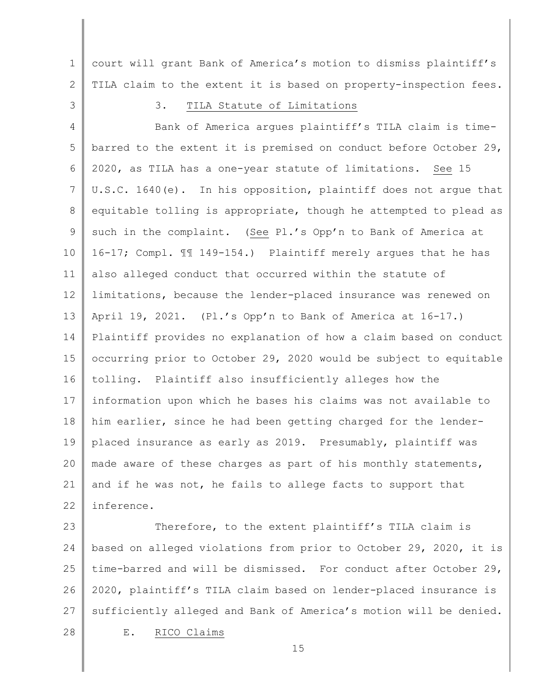1 2 court will grant Bank of America's motion to dismiss plaintiff's TILA claim to the extent it is based on property-inspection fees.

3

# 3. TILA Statute of Limitations

4 5 6 7 8 9 10 11 12 13 14 15 16 17 18 19 20 21 22 Bank of America argues plaintiff's TILA claim is timebarred to the extent it is premised on conduct before October 29, 2020, as TILA has a one-year statute of limitations. See 15 U.S.C. 1640(e). In his opposition, plaintiff does not argue that equitable tolling is appropriate, though he attempted to plead as such in the complaint. (See Pl.'s Opp'n to Bank of America at 16-17; Compl. ¶¶ 149-154.) Plaintiff merely argues that he has also alleged conduct that occurred within the statute of limitations, because the lender-placed insurance was renewed on April 19, 2021. (Pl.'s Opp'n to Bank of America at 16-17.) Plaintiff provides no explanation of how a claim based on conduct occurring prior to October 29, 2020 would be subject to equitable tolling. Plaintiff also insufficiently alleges how the information upon which he bases his claims was not available to him earlier, since he had been getting charged for the lenderplaced insurance as early as 2019. Presumably, plaintiff was made aware of these charges as part of his monthly statements, and if he was not, he fails to allege facts to support that inference.

23 24 25 26 27 28 Therefore, to the extent plaintiff's TILA claim is based on alleged violations from prior to October 29, 2020, it is time-barred and will be dismissed. For conduct after October 29, 2020, plaintiff's TILA claim based on lender-placed insurance is sufficiently alleged and Bank of America's motion will be denied. E. RICO Claims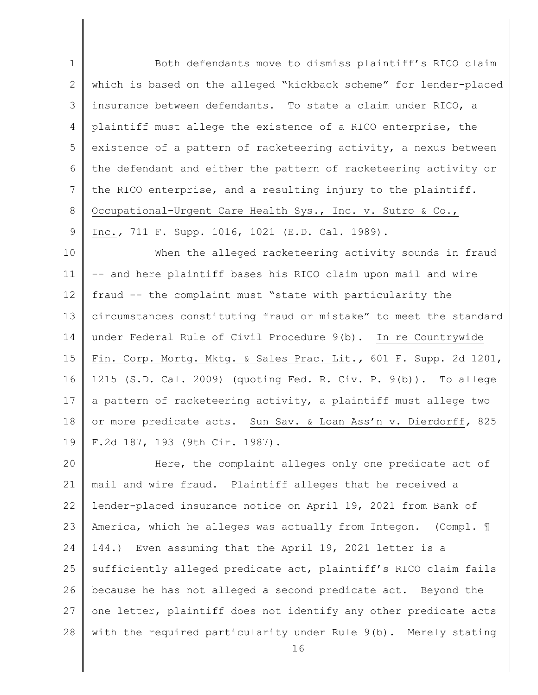1 2 3 4 5 6 7 8 9 10 11 12 13 14 15 16 17 18 19 20 21 22 23 24 Both defendants move to dismiss plaintiff's RICO claim which is based on the alleged "kickback scheme" for lender-placed insurance between defendants. To state a claim under RICO, a plaintiff must allege the existence of a RICO enterprise, the existence of a pattern of racketeering activity, a nexus between the defendant and either the pattern of racketeering activity or the RICO enterprise, and a resulting injury to the plaintiff. Occupational–Urgent Care Health Sys., Inc. v. Sutro & Co., Inc.*,* 711 F. Supp. 1016, 1021 (E.D. Cal. 1989). When the alleged racketeering activity sounds in fraud -- and here plaintiff bases his RICO claim upon mail and wire fraud -- the complaint must "state with particularity the circumstances constituting fraud or mistake" to meet the standard under Federal Rule of Civil Procedure 9(b). In re Countrywide Fin. Corp. Mortg. Mktg. & Sales Prac. Lit.*,* 601 F. Supp. 2d 1201, 1215 (S.D. Cal. 2009) (quoting Fed. R. Civ. P. 9(b)). To allege a pattern of racketeering activity, a plaintiff must allege two or more predicate acts. Sun Sav. & Loan Ass'n v. Dierdorff*,* 825 F.2d 187, 193 (9th Cir. 1987). Here, the complaint alleges only one predicate act of mail and wire fraud. Plaintiff alleges that he received a lender-placed insurance notice on April 19, 2021 from Bank of America, which he alleges was actually from Integon. (Compl. 1 144.) Even assuming that the April 19, 2021 letter is a

25 26 27 28 sufficiently alleged predicate act, plaintiff's RICO claim fails because he has not alleged a second predicate act. Beyond the one letter, plaintiff does not identify any other predicate acts with the required particularity under Rule 9(b). Merely stating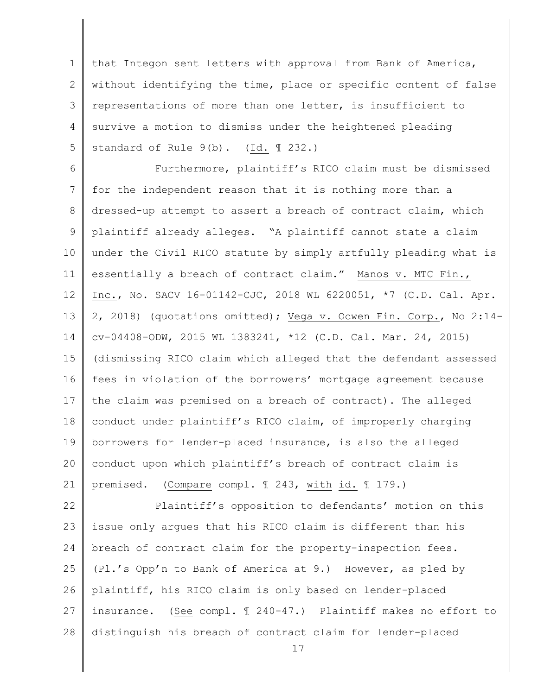1 2 3 4 5 that Integon sent letters with approval from Bank of America, without identifying the time, place or specific content of false representations of more than one letter, is insufficient to survive a motion to dismiss under the heightened pleading standard of Rule 9(b). (Id. 1 232.)

6 7 8 9 10 11 12 13 14 15 16 17 18 19 20 21 Furthermore, plaintiff's RICO claim must be dismissed for the independent reason that it is nothing more than a dressed-up attempt to assert a breach of contract claim, which plaintiff already alleges. "A plaintiff cannot state a claim under the Civil RICO statute by simply artfully pleading what is essentially a breach of contract claim." Manos v. MTC Fin., Inc., No. SACV 16-01142-CJC, 2018 WL 6220051, \*7 (C.D. Cal. Apr. 2, 2018) (quotations omitted); Vega v. Ocwen Fin. Corp., No 2:14 cv-04408-ODW, 2015 WL 1383241, \*12 (C.D. Cal. Mar. 24, 2015) (dismissing RICO claim which alleged that the defendant assessed fees in violation of the borrowers' mortgage agreement because the claim was premised on a breach of contract). The alleged conduct under plaintiff's RICO claim, of improperly charging borrowers for lender-placed insurance, is also the alleged conduct upon which plaintiff's breach of contract claim is premised. (Compare compl. ¶ 243, with id. ¶ 179.)

22 23 24 25 26 27 28 Plaintiff's opposition to defendants' motion on this issue only argues that his RICO claim is different than his breach of contract claim for the property-inspection fees. (Pl.'s Opp'n to Bank of America at 9.) However, as pled by plaintiff, his RICO claim is only based on lender-placed insurance. (See compl. ¶ 240-47.) Plaintiff makes no effort to distinguish his breach of contract claim for lender-placed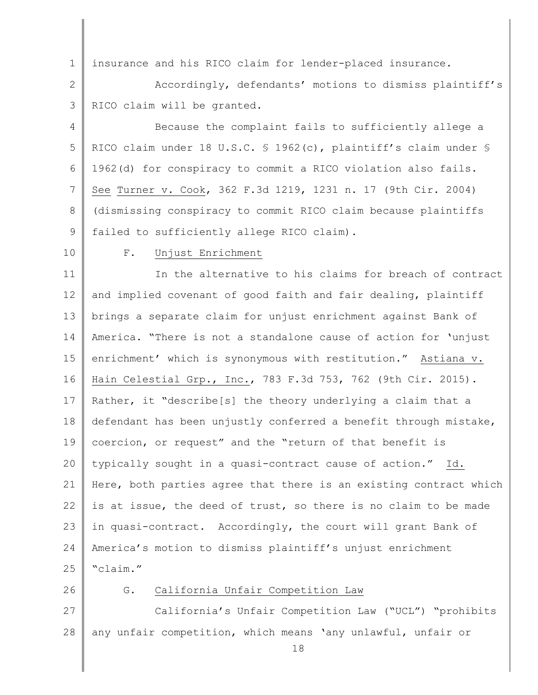1 insurance and his RICO claim for lender-placed insurance.

2 3 Accordingly, defendants' motions to dismiss plaintiff's RICO claim will be granted.

4 5 6 7 8 9 Because the complaint fails to sufficiently allege a RICO claim under 18 U.S.C. § 1962(c), plaintiff's claim under § 1962(d) for conspiracy to commit a RICO violation also fails. See Turner v. Cook, 362 F.3d 1219, 1231 n. 17 (9th Cir. 2004) (dismissing conspiracy to commit RICO claim because plaintiffs failed to sufficiently allege RICO claim).

10

#### F. Unjust Enrichment

11 12 13 14 15 16 17 18 19 20 21 22 23 24 25 In the alternative to his claims for breach of contract and implied covenant of good faith and fair dealing, plaintiff brings a separate claim for unjust enrichment against Bank of America. "There is not a standalone cause of action for 'unjust enrichment' which is synonymous with restitution." Astiana v. Hain Celestial Grp., Inc., 783 F.3d 753, 762 (9th Cir. 2015). Rather, it "describe[s] the theory underlying a claim that a defendant has been unjustly conferred a benefit through mistake, coercion, or request" and the "return of that benefit is typically sought in a quasi-contract cause of action." Id. Here, both parties agree that there is an existing contract which is at issue, the deed of trust, so there is no claim to be made in quasi-contract. Accordingly, the court will grant Bank of America's motion to dismiss plaintiff's unjust enrichment "claim."

26

#### G. California Unfair Competition Law

27 28 California's Unfair Competition Law ("UCL") "prohibits any unfair competition, which means 'any unlawful, unfair or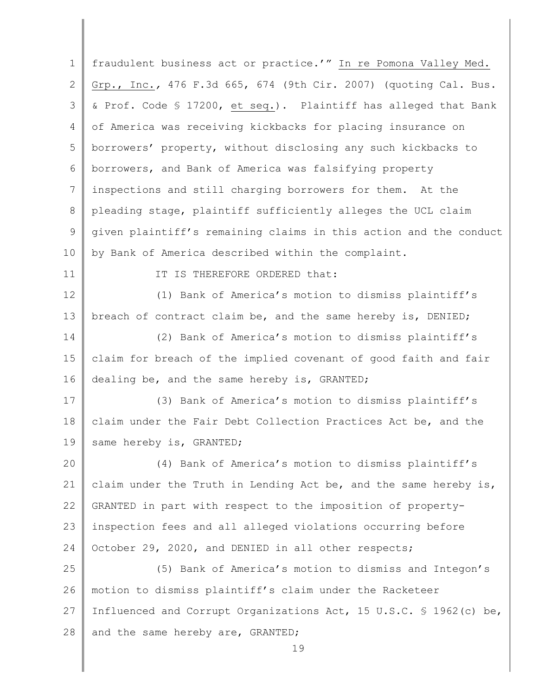| $\mathbf 1$ | fraudulent business act or practice.'" In re Pomona Valley Med.     |  |
|-------------|---------------------------------------------------------------------|--|
| 2           | Grp., Inc., 476 F.3d 665, 674 (9th Cir. 2007) (quoting Cal. Bus.    |  |
| 3           | & Prof. Code § 17200, et seq.). Plaintiff has alleged that Bank     |  |
| 4           | of America was receiving kickbacks for placing insurance on         |  |
| 5           | borrowers' property, without disclosing any such kickbacks to       |  |
| 6           | borrowers, and Bank of America was falsifying property              |  |
| 7           | inspections and still charging borrowers for them. At the           |  |
| 8           | pleading stage, plaintiff sufficiently alleges the UCL claim        |  |
| 9           | given plaintiff's remaining claims in this action and the conduct   |  |
| 10          | by Bank of America described within the complaint.                  |  |
| 11          | IT IS THEREFORE ORDERED that:                                       |  |
| 12          | (1) Bank of America's motion to dismiss plaintiff's                 |  |
| 13          | breach of contract claim be, and the same hereby is, DENIED;        |  |
| 14          | (2) Bank of America's motion to dismiss plaintiff's                 |  |
| 15          | claim for breach of the implied covenant of good faith and fair     |  |
| 16          | dealing be, and the same hereby is, GRANTED;                        |  |
| 17          | (3) Bank of America's motion to dismiss plaintiff's                 |  |
| 18          | claim under the Fair Debt Collection Practices Act be, and the      |  |
| 19          | same hereby is, GRANTED;                                            |  |
| 20          | (4) Bank of America's motion to dismiss plaintiff's                 |  |
| 21          | claim under the Truth in Lending Act be, and the same hereby is,    |  |
| 22          | GRANTED in part with respect to the imposition of property-         |  |
| 23          | inspection fees and all alleged violations occurring before         |  |
| 24          | October 29, 2020, and DENIED in all other respects;                 |  |
| 25          | (5) Bank of America's motion to dismiss and Integon's               |  |
| 26          | motion to dismiss plaintiff's claim under the Racketeer             |  |
| 27          | Influenced and Corrupt Organizations Act, 15 U.S.C. \$ 1962 (c) be, |  |
| 28          | and the same hereby are, GRANTED;                                   |  |
|             | 19                                                                  |  |